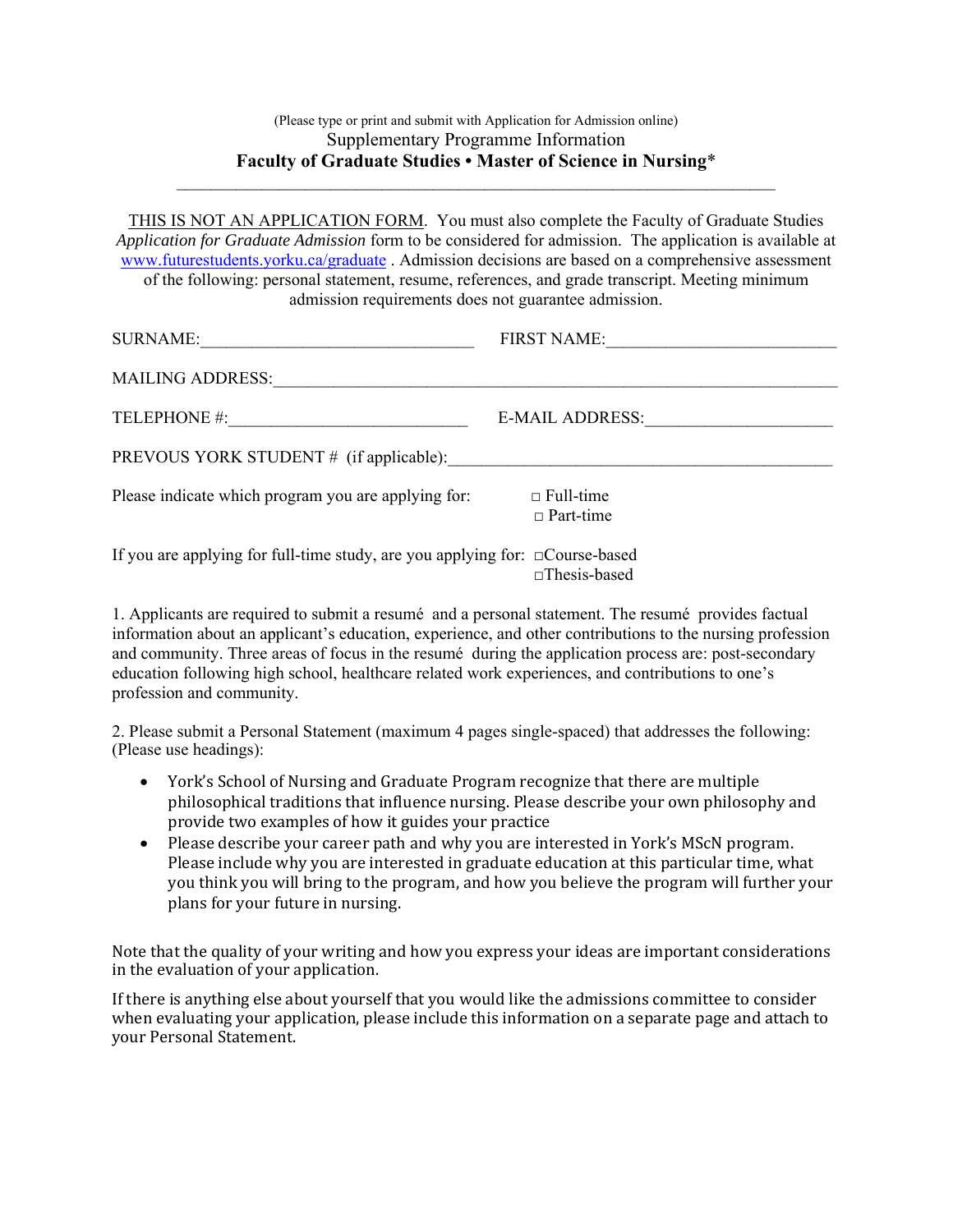## (Please type or print and submit with Application for Admission online) Supplementary Programme Information **Faculty of Graduate Studies • Master of Science in Nursing**\*

\_\_\_\_\_\_\_\_\_\_\_\_\_\_\_\_\_\_\_\_\_\_\_\_\_\_\_\_\_\_\_\_\_\_\_\_\_\_\_\_\_\_\_\_\_\_\_\_\_\_\_\_\_\_\_\_\_\_\_\_\_\_\_\_\_\_\_\_\_\_

THIS IS NOT AN APPLICATION FORM. You must also complete the Faculty of Graduate Studies *Application for Graduate Admission* form to be considered for admission. The application is available at www.futurestudents.yorku.ca/graduate . Admission decisions are based on a comprehensive assessment of the following: personal statement, resume, references, and grade transcript. Meeting minimum admission requirements does not guarantee admission.

| <b>SURNAME:</b>                                                                    | <b>FIRST NAME:</b>                   |
|------------------------------------------------------------------------------------|--------------------------------------|
| <b>MAILING ADDRESS:</b>                                                            |                                      |
| TELEPHONE #:                                                                       | <b>E-MAIL ADDRESS:</b>               |
| PREVOUS YORK STUDENT # (if applicable):                                            |                                      |
| Please indicate which program you are applying for:                                | $\Box$ Full-time<br>$\Box$ Part-time |
| If you are applying for full-time study, are you applying for: $\Box$ Course-based | $\Box$ Thesis-based                  |

1. Applicants are required to submit a resumé and a personal statement. The resumé provides factual information about an applicant's education, experience, and other contributions to the nursing profession and community. Three areas of focus in the resumé during the application process are: post-secondary education following high school, healthcare related work experiences, and contributions to one's profession and community.

2. Please submit a Personal Statement (maximum 4 pages single-spaced) that addresses the following: (Please use headings):

- York's School of Nursing and Graduate Program recognize that there are multiple philosophical traditions that influence nursing. Please describe your own philosophy and provide two examples of how it guides your practice
- Please describe your career path and why you are interested in York's MScN program. Please include why you are interested in graduate education at this particular time, what you think you will bring to the program, and how you believe the program will further your plans for your future in nursing.

Note that the quality of your writing and how you express your ideas are important considerations in the evaluation of your application.

If there is anything else about yourself that you would like the admissions committee to consider when evaluating your application, please include this information on a separate page and attach to your Personal Statement.